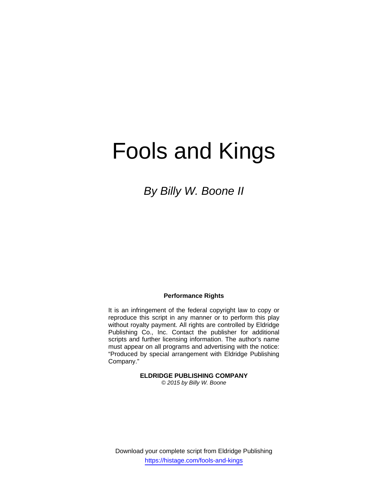# Fools and Kings

*By Billy W. Boone II* 

### **Performance Rights**

It is an infringement of the federal copyright law to copy or reproduce this script in any manner or to perform this play without royalty payment. All rights are controlled by Eldridge Publishing Co., Inc. Contact the publisher for additional scripts and further licensing information. The author's name must appear on all programs and advertising with the notice: "Produced by special arrangement with Eldridge Publishing Company."

**ELDRIDGE PUBLISHING COMPANY** 

*© 2015 by Billy W. Boone*

Download your complete script from Eldridge Publishing https://histage.com/fools-and-kings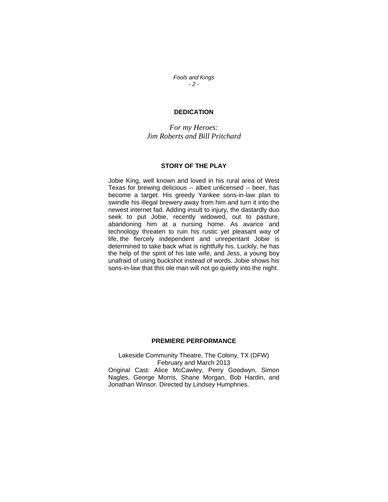*Fools and Kings - 2 -* 

## **DEDICATION**

*For my Heroes: Jim Roberts and Bill Pritchard* 

#### **STORY OF THE PLAY**

Jobie King, well known and loved in his rural area of West Texas for brewing delicious -- albeit unlicensed -- beer, has become a target. His greedy Yankee sons-in-law plan to swindle his illegal brewery away from him and turn it into the newest internet fad. Adding insult to injury, the dastardly duo seek to put Jobie, recently widowed, out to pasture, abandoning him at a nursing home. As avarice and technology threaten to ruin his rustic yet pleasant way of life, the fiercely independent and unrepentant Jobie is determined to take back what is rightfully his. Luckily, he has the help of the spirit of his late wife, and Jess, a young boy unafraid of using buckshot instead of words. Jobie shows his sons-in-law that this ole man will not go quietly into the night.

### **PREMIERE PERFORMANCE**

Lakeside Community Theatre, The Colony, TX (DFW) February and March 2013 Original Cast: Alice McCawley, Perry Goodwyn, Simon Nagles, George Morris, Shane Morgan, Bob Hardin, and Jonathan Winsor. Directed by Lindsey Humphries.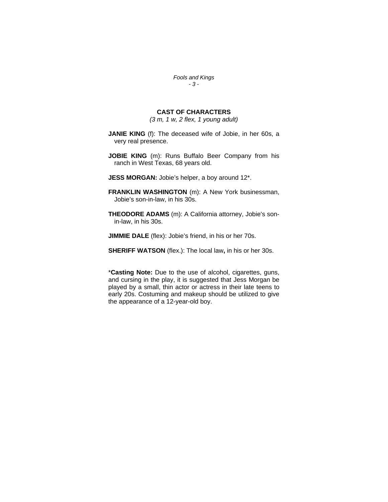*Fools and Kings - 3 -* 

## **CAST OF CHARACTERS**

*(3 m, 1 w, 2 flex, 1 young adult)* 

- **JANIE KING** (f): The deceased wife of Jobie, in her 60s, a very real presence.
- **JOBIE KING** (m): Runs Buffalo Beer Company from his ranch in West Texas, 68 years old.
- **JESS MORGAN:** Jobie's helper, a boy around 12\*.
- **FRANKLIN WASHINGTON** (m): A New York businessman, Jobie's son-in-law, in his 30s.
- **THEODORE ADAMS** (m): A California attorney, Jobie's sonin-law, in his 30s.
- **JIMMIE DALE** (flex): Jobie's friend, in his or her 70s.
- **SHERIFF WATSON** (flex.): The local law**,** in his or her 30s.

\***Casting Note:** Due to the use of alcohol, cigarettes, guns, and cursing in the play, it is suggested that Jess Morgan be played by a small, thin actor or actress in their late teens to early 20s. Costuming and makeup should be utilized to give the appearance of a 12-year-old boy.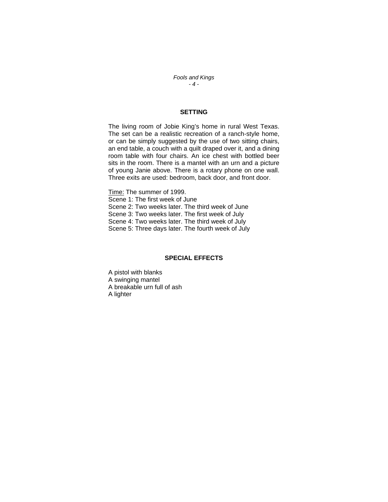*Fools and Kings - 4 -* 

## **SETTING**

The living room of Jobie King's home in rural West Texas. The set can be a realistic recreation of a ranch-style home, or can be simply suggested by the use of two sitting chairs, an end table, a couch with a quilt draped over it, and a dining room table with four chairs. An ice chest with bottled beer sits in the room. There is a mantel with an urn and a picture of young Janie above. There is a rotary phone on one wall. Three exits are used: bedroom, back door, and front door.

Time: The summer of 1999. Scene 1: The first week of June Scene 2: Two weeks later. The third week of June Scene 3: Two weeks later. The first week of July Scene 4: Two weeks later. The third week of July Scene 5: Three days later. The fourth week of July

## **SPECIAL EFFECTS**

A pistol with blanks A swinging mantel A breakable urn full of ash A lighter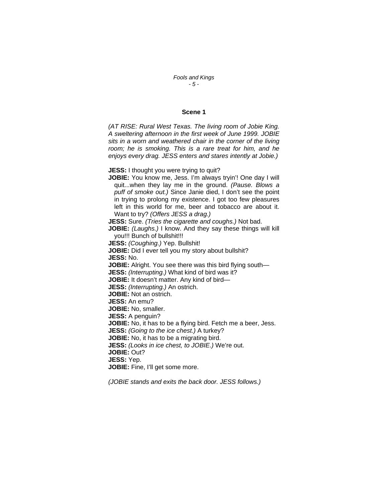#### *Fools and Kings - 5 -*

#### **Scene 1**

*(AT RISE: Rural West Texas. The living room of Jobie King. A sweltering afternoon in the first week of June 1999. JOBIE sits in a worn and weathered chair in the corner of the living room; he is smoking. This is a rare treat for him, and he enjoys every drag. JESS enters and stares intently at Jobie.)* 

**JESS:** I thought you were trying to quit?

**JOBIE:** You know me, Jess. I'm always tryin'! One day I will quit...when they lay me in the ground. *(Pause. Blows a puff of smoke out.)* Since Janie died, I don't see the point in trying to prolong my existence. I got too few pleasures left in this world for me, beer and tobacco are about it. Want to try? *(Offers JESS a drag.)*

**JESS:** Sure. *(Tries the cigarette and coughs.)* Not bad.

**JOBIE:** *(Laughs.)* I know. And they say these things will kill you!!! Bunch of bullshit!!!

**JESS:** *(Coughing.)* Yep. Bullshit!

**JOBIE:** Did I ever tell you my story about bullshit? **JESS:** No. **JOBIE:** Alright. You see there was this bird flying south—

**JESS:** *(Interrupting.)* What kind of bird was it?

**JOBIE:** It doesn't matter. Any kind of bird—

**JESS:** *(Interrupting.)* An ostrich.

**JOBIE:** Not an ostrich.

**JESS:** An emu?

**JOBIE:** No, smaller.

**JESS:** A penguin?

**JOBIE:** No, it has to be a flying bird. Fetch me a beer, Jess.

**JESS:** *(Going to the ice chest.)* A turkey?

**JOBIE:** No, it has to be a migrating bird.

**JESS:** *(Looks in ice chest, to JOBIE.)* We're out.

**JOBIE:** Out?

**JESS:** Yep.

**JOBIE:** Fine, I'll get some more.

*(JOBIE stands and exits the back door. JESS follows.)*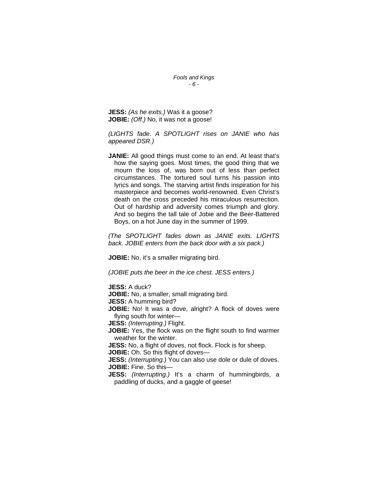*Fools and Kings - 6 -* 

**JESS:** *(As he exits.)* Was it a goose? **JOBIE:** *(Off.)* No, it was not a goose!

*(LIGHTS fade. A SPOTLIGHT rises on JANIE who has appeared DSR.)* 

**JANIE:** All good things must come to an end. At least that's how the saying goes. Most times, the good thing that we mourn the loss of, was born out of less than perfect circumstances. The tortured soul turns his passion into lyrics and songs. The starving artist finds inspiration for his masterpiece and becomes world-renowned. Even Christ's death on the cross preceded his miraculous resurrection. Out of hardship and adversity comes triumph and glory. And so begins the tall tale of Jobie and the Beer-Battered Boys, on a hot June day in the summer of 1999.

*(The SPOTLIGHT fades down as JANIE exits. LIGHTS back. JOBIE enters from the back door with a six pack.)*

**JOBIE:** No, it's a smaller migrating bird.

*(JOBIE puts the beer in the ice chest. JESS enters.)* 

**JESS:** A duck? **JOBIE:** No, a smaller, small migrating bird. **JESS:** A humming bird? **JOBIE:** No! It was a dove, alright? A flock of doves were flying south for winter— **JESS:** *(Interrupting.)* Flight. **JOBIE:** Yes, the flock was on the flight south to find warmer weather for the winter. **JESS:** No, a flight of doves, not flock. Flock is for sheep. **JOBIE:** Oh. So this flight of doves— **JESS:** *(Interrupting.)* You can also use dole or dule of doves. **JOBIE:** Fine. So this— **JESS:** *(Interrupting.)* It's a charm of hummingbirds, a paddling of ducks, and a gaggle of geese!